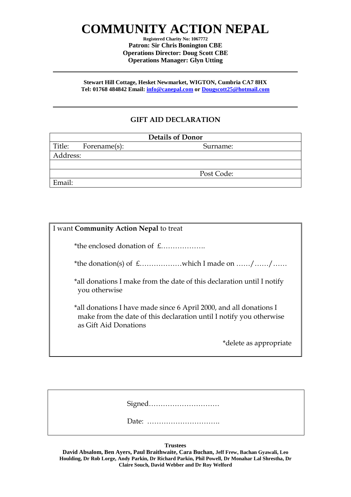# **COMMUNITY ACTION NEPAL**

**Registered Charity No: 1067772 Patron: Sir Chris Bonington CBE Operations Director: Doug Scott CBE Operations Manager: Glyn Utting**

**Stewart Hill Cottage, Hesket Newmarket, WIGTON, Cumbria CA7 8HX Tel: 01768 484842 Email: [info@canepal.com](mailto:info@canepal.com) or [Dougscott25@hotmail.com](mailto:Dougscott25@hotmail.com)**

### **GIFT AID DECLARATION**

| <b>Details of Donor</b> |              |            |
|-------------------------|--------------|------------|
| Title:                  | Forename(s): | Surname:   |
| Address:                |              |            |
|                         |              |            |
|                         |              | Post Code: |
| Email:                  |              |            |

| I want Community Action Nepal to treat                                                                                                                             |
|--------------------------------------------------------------------------------------------------------------------------------------------------------------------|
| *the enclosed donation of £                                                                                                                                        |
|                                                                                                                                                                    |
| *all donations I make from the date of this declaration until I notify<br>you otherwise                                                                            |
| *all donations I have made since 6 April 2000, and all donations I<br>make from the date of this declaration until I notify you otherwise<br>as Gift Aid Donations |
| *delete as appropriate                                                                                                                                             |

**Trustees**

**David Absalom, Ben Ayers, Paul Braithwaite, Cara Buchan, Jeff Frew, Bachan Gyawali, Leo Houlding, Dr Rob Lorge, Andy Parkin, Dr Richard Parkin, Phil Powell, Dr Monahar Lal Shrestha, Dr Claire Souch, David Webber and Dr Roy Welford**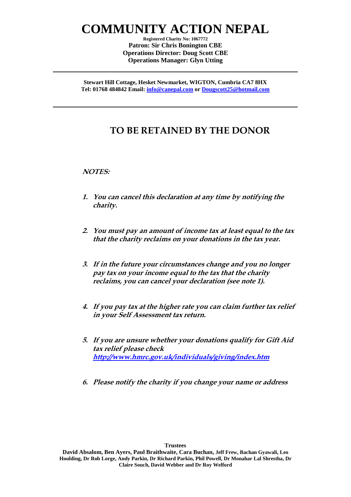## **COMMUNITY ACTION NEPAL**

**Registered Charity No: 1067772 Patron: Sir Chris Bonington CBE Operations Director: Doug Scott CBE Operations Manager: Glyn Utting**

**Stewart Hill Cottage, Hesket Newmarket, WIGTON, Cumbria CA7 8HX Tel: 01768 484842 Email: [info@canepal.com](mailto:info@canepal.com) or [Dougscott25@hotmail.com](mailto:Dougscott25@hotmail.com)**

### **TO BE RETAINED BY THE DONOR**

#### **NOTES:**

- **1. You can cancel this declaration at any time by notifying the charity.**
- **2. You must pay an amount of income tax at least equal to the tax that the charity reclaims on your donations in the tax year.**
- **3. If in the future your circumstances change and you no longer pay tax on your income equal to the tax that the charity reclaims, you can cancel your declaration (see note 1).**
- **4. If you pay tax at the higher rate you can claim further tax relief in your Self Assessment tax return.**
- **5. If you are unsure whether your donations qualify for Gift Aid tax relief please check <http://www.hmrc.gov.uk/individuals/giving/index.htm>**
- **6. Please notify the charity if you change your name or address**

**David Absalom, Ben Ayers, Paul Braithwaite, Cara Buchan, Jeff Frew, Bachan Gyawali, Leo Houlding, Dr Rob Lorge, Andy Parkin, Dr Richard Parkin, Phil Powell, Dr Monahar Lal Shrestha, Dr Claire Souch, David Webber and Dr Roy Welford**